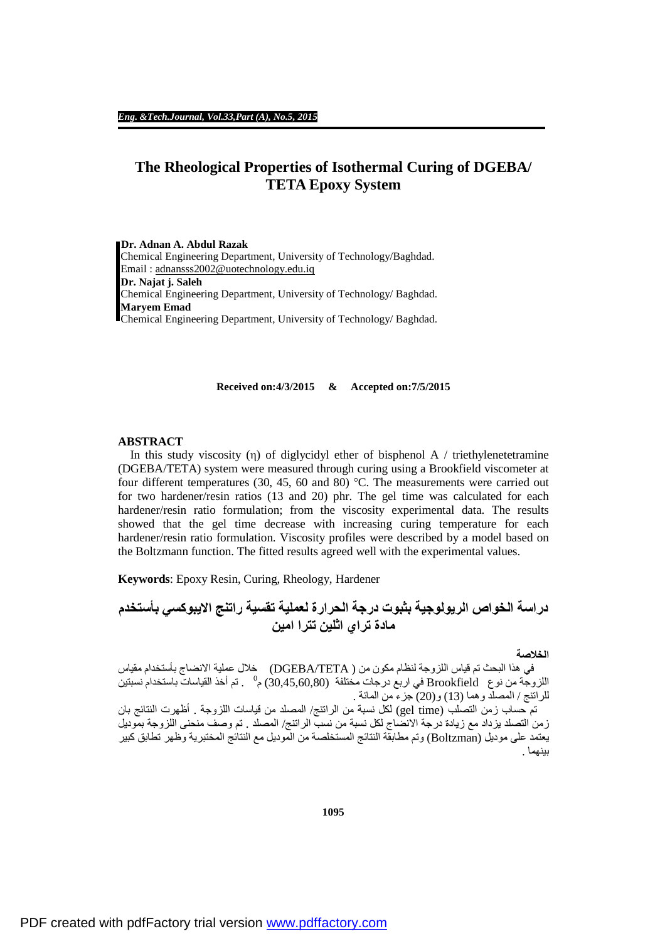# **The Rheological Properties of Isothermal Curing of DGEBA/ TETA Epoxy System**

**Dr. Adnan A. Abdul Razak**  Chemical Engineering Department, University of Technology/Baghdad. Email : [adnansss2002@uotechnology.edu.iq](mailto:adnansss2002@uotechnology.edu.iq)  **Dr. Najat j. Saleh**  Chemical Engineering Department, University of Technology/ Baghdad. **Maryem Emad**  Chemical Engineering Department, University of Technology/ Baghdad.

### **Received on:4/3/2015 & Accepted on:7/5/2015**

### **ABSTRACT**

In this study viscosity (η) of diglycidyl ether of bisphenol A / triethylenetetramine (DGEBA/TETA) system were measured through curing using a Brookfield viscometer at four different temperatures (30, 45, 60 and 80) °C. The measurements were carried out for two hardener/resin ratios (13 and 20) phr. The gel time was calculated for each hardener/resin ratio formulation; from the viscosity experimental data. The results showed that the gel time decrease with increasing curing temperature for each hardener/resin ratio formulation. Viscosity profiles were described by a model based on the Boltzmann function. The fitted results agreed well with the experimental values.

**Keywords**: Epoxy Resin, Curing, Rheology, Hardener

**دراسة الخواص الریولوجیة بثبوت درجة الحرارة لعملیة تقسیة راتنج الایبوكسي بأستخدم مادة تراي اثلین تترا امین**

# **الخلاصة**

في ھذا البحث تم قیاس اللزوجة لنظام مكون من ( TETA/DGEBA (خلال عملیة الانضاج بأستخدام مقیاس اللزوجة من نوع Brookfield في اربع درجات مختلفة (30,45,60,80) م° . تم أخذ القياسات باستخدام نسبتين للراتنج / المصلد وھما (13) و(20) جزء من المائة .

 تم حساب زمن التصلب (time gel (لكل نسبة من الراتنج/ المصلد من قیاسات اللزوجة . أظھرت النتائج بان زمن التصلد یزداد مع زیادة درجة الانضاج لكل نسبة من نسب الراتنج/ المصلد . تم وصف منحنى اللزوجة بمودیل یعتمد على مودیل (Boltzman (وتم مطابقة النتائج المستخلصة من المودیل مع النتائج المختبریة وظھر تطابق كبیر بینھما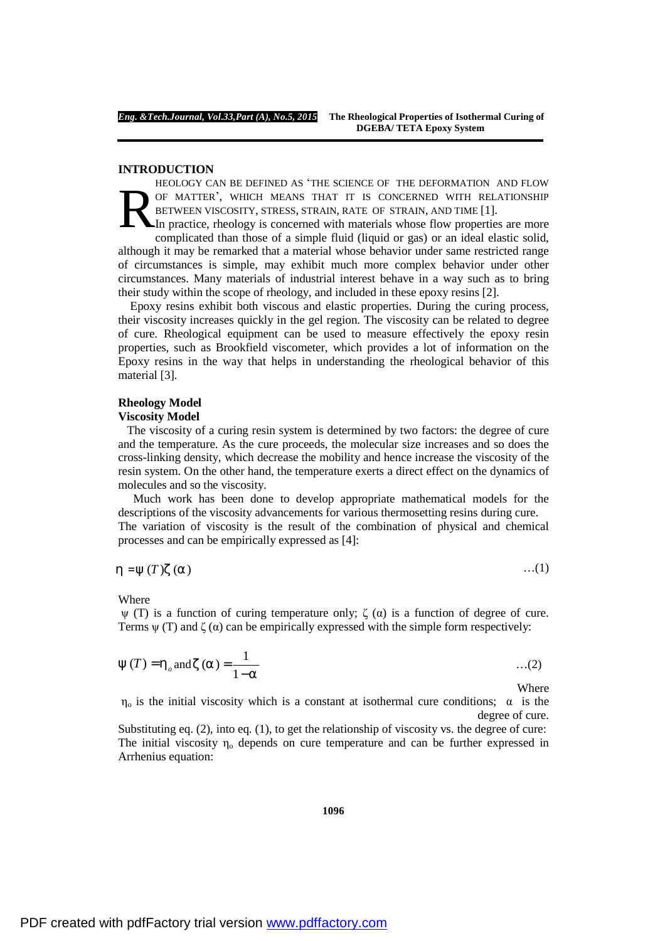### **INTRODUCTION**

HEOLOGY CAN BE DEFINED AS 'THE SCIENCE OF THE DEFORMATION AND FLOW OF MATTER', WHICH MEANS THAT IT IS CONCERNED WITH RELATIONSHIP BETWEEN VISCOSITY, STRESS, STRAIN, RATE OF STRAIN, AND TIME [1]. R

In practice, rheology is concerned with materials whose flow properties are more complicated than those of a simple fluid (liquid or gas) or an ideal elastic solid, although it may be remarked that a material whose behavior under same restricted range of circumstances is simple, may exhibit much more complex behavior under other circumstances. Many materials of industrial interest behave in a way such as to bring their study within the scope of rheology, and included in these epoxy resins [2].

 Epoxy resins exhibit both viscous and elastic properties. During the curing process, their viscosity increases quickly in the gel region. The viscosity can be related to degree of cure. Rheological equipment can be used to measure effectively the epoxy resin properties, such as Brookfield viscometer, which provides a lot of information on the Epoxy resins in the way that helps in understanding the rheological behavior of this material [3].

## **Rheology Model**

### **Viscosity Model**

The viscosity of a curing resin system is determined by two factors: the degree of cure and the temperature. As the cure proceeds, the molecular size increases and so does the cross-linking density, which decrease the mobility and hence increase the viscosity of the resin system. On the other hand, the temperature exerts a direct effect on the dynamics of molecules and so the viscosity.

 Much work has been done to develop appropriate mathematical models for the descriptions of the viscosity advancements for various thermosetting resins during cure.

The variation of viscosity is the result of the combination of physical and chemical processes and can be empirically expressed as [4]:

$$
h = y(T)z(a) \tag{1}
$$

Where

 $ψ$  (T) is a function of curing temperature only;  $ζ$  (α) is a function of degree of cure. Terms  $\psi$  (T) and  $\zeta$  ( $\alpha$ ) can be empirically expressed with the simple form respectively:

$$
y(T) = h_o
$$
 and  $z(a) = \frac{1}{1-a}$  ...(2)

Where

 $\eta_0$  is the initial viscosity which is a constant at isothermal cure conditions;  $\alpha$  is the degree of cure.

Substituting eq. (2), into eq. (1), to get the relationship of viscosity vs. the degree of cure: The initial viscosity  $\eta_0$  depends on cure temperature and can be further expressed in Arrhenius equation: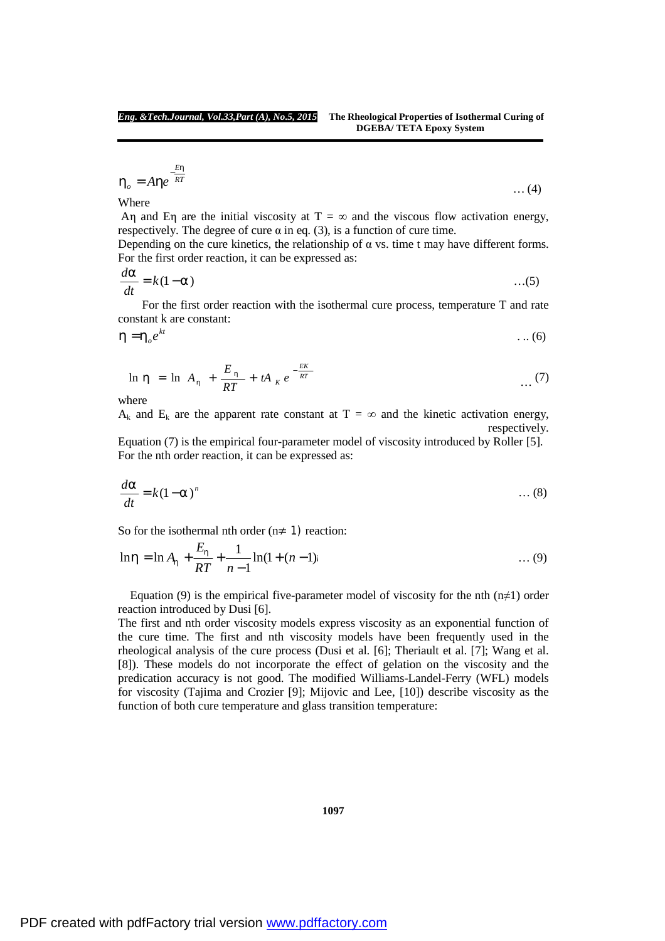$$
h_o = A h e^{-\frac{E h}{RT}}
$$
 ... (4)

Where

Aη and Eη are the initial viscosity at  $T = \infty$  and the viscous flow activation energy, respectively. The degree of cure  $\alpha$  in eq. (3), is a function of cure time.

Depending on the cure kinetics, the relationship of  $\alpha$  vs. time t may have different forms. For the first order reaction, it can be expressed as:

$$
\frac{da}{dt} = k(1-a) \tag{5}
$$

 For the first order reaction with the isothermal cure process, temperature T and rate constant k are constant:

$$
h = h_o e^{kt} \tag{6}
$$

$$
\ln h = \ln A_h + \frac{E_h}{RT} + tA_K e^{-\frac{EK}{RT}} \qquad \qquad \dots (7)
$$

where

 $A_k$  and  $E_k$  are the apparent rate constant at  $T = \infty$  and the kinetic activation energy, respectively.

Equation (7) is the empirical four-parameter model of viscosity introduced by Roller [5]. For the nth order reaction, it can be expressed as:

$$
\frac{d\mathbf{a}}{dt} = k(1-\mathbf{a})^n \qquad \qquad \dots (8)
$$

So for the isothermal nth order  $(n \neq 1)$  reaction:

$$
\ln h = \ln A_h + \frac{E_h}{RT} + \frac{1}{n-1} \ln(1 + (n-1)) \tag{9}
$$

Equation (9) is the empirical five-parameter model of viscosity for the nth (n≠1) order reaction introduced by Dusi [6].

The first and nth order viscosity models express viscosity as an exponential function of the cure time. The first and nth viscosity models have been frequently used in the rheological analysis of the cure process (Dusi et al. [6]; Theriault et al. [7]; Wang et al. [8]). These models do not incorporate the effect of gelation on the viscosity and the predication accuracy is not good. The modified Williams-Landel-Ferry (WFL) models for viscosity (Tajima and Crozier [9]; Mijovic and Lee, [10]) describe viscosity as the function of both cure temperature and glass transition temperature:

**1097**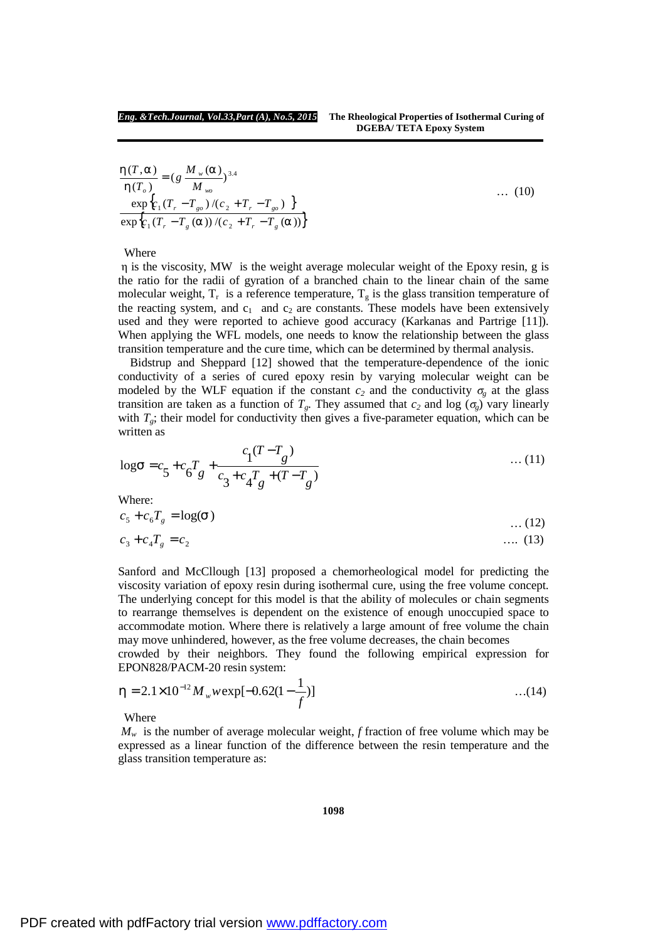$$
\frac{h(T,a)}{h(T_o)} = (g \frac{M_w(a)}{M_w})^{3.4}
$$
\n
$$
\frac{\exp\{c_1(T_r - T_{go})/(c_2 + T_r - T_{go})\}}{\exp\{c_1(T_r - T_g(a))/(c_2 + T_r - T_g(a))\}}
$$
\n(10)

Where

η is the viscosity, MW is the weight average molecular weight of the Epoxy resin, g is the ratio for the radii of gyration of a branched chain to the linear chain of the same molecular weight,  $T_r$  is a reference temperature,  $T_g$  is the glass transition temperature of the reacting system, and  $c_1$  and  $c_2$  are constants. These models have been extensively used and they were reported to achieve good accuracy (Karkanas and Partrige [11]). When applying the WFL models, one needs to know the relationship between the glass transition temperature and the cure time, which can be determined by thermal analysis.

 Bidstrup and Sheppard [12] showed that the temperature-dependence of the ionic conductivity of a series of cured epoxy resin by varying molecular weight can be modeled by the WLF equation if the constant  $c_2$  and the conductivity  $\sigma_{\rm g}$  at the glass transition are taken as a function of  $T_g$ . They assumed that  $c_2$  and log ( $\sigma_g$ ) vary linearly with  $T<sub>g</sub>$ ; their model for conductivity then gives a five-parameter equation, which can be written as

$$
\log s = c_5 + c_6 T_g + \frac{c_1 (T - T_g)}{c_3 + c_4 T_g + (T - T_g)} \tag{11}
$$

Where:

$$
c_5 + c_6 T_g = \log(\mathbf{S}) \tag{12}
$$

$$
c_3 + c_4 T_g = c_2 \tag{13}
$$

Sanford and McCllough [13] proposed a chemorheological model for predicting the viscosity variation of epoxy resin during isothermal cure, using the free volume concept. The underlying concept for this model is that the ability of molecules or chain segments to rearrange themselves is dependent on the existence of enough unoccupied space to accommodate motion. Where there is relatively a large amount of free volume the chain may move unhindered, however, as the free volume decreases, the chain becomes

crowded by their neighbors. They found the following empirical expression for EPON828/PACM-20 resin system:

$$
h = 2.1 \times 10^{-12} M_w w \exp[-0.62(1 - \frac{1}{f})]
$$
...(14)

Where

 $M_w$  is the number of average molecular weight, *f* fraction of free volume which may be expressed as a linear function of the difference between the resin temperature and the glass transition temperature as: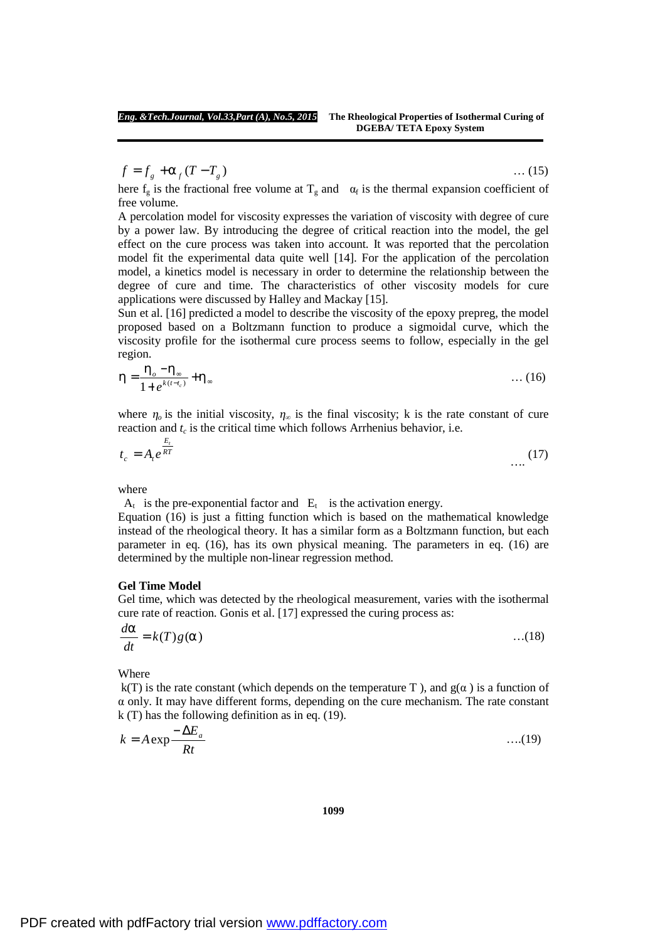$f = f_g + a_f (T - T_g)$  (15)

here  $f_g$  is the fractional free volume at  $T_g$  and  $\alpha_f$  is the thermal expansion coefficient of free volume.

A percolation model for viscosity expresses the variation of viscosity with degree of cure by a power law. By introducing the degree of critical reaction into the model, the gel effect on the cure process was taken into account. It was reported that the percolation model fit the experimental data quite well [14]. For the application of the percolation model, a kinetics model is necessary in order to determine the relationship between the degree of cure and time. The characteristics of other viscosity models for cure applications were discussed by Halley and Mackay [15].

Sun et al. [16] predicted a model to describe the viscosity of the epoxy prepreg, the model proposed based on a Boltzmann function to produce a sigmoidal curve, which the viscosity profile for the isothermal cure process seems to follow, especially in the gel region.

$$
h = \frac{h_o - h_{\infty}}{1 + e^{k(t - t_c)}} + h_{\infty} \tag{16}
$$

where  $\eta$ <sub>o</sub> is the initial viscosity,  $\eta_\infty$  is the final viscosity; k is the rate constant of cure reaction and  $t_c$  is the critical time which follows Arrhenius behavior, i.e.

$$
t_c = A_t e^{\frac{E_t}{RT}}
$$
 (17)

where

 $A_t$  is the pre-exponential factor and  $E_t$  is the activation energy.

Equation (16) is just a fitting function which is based on the mathematical knowledge instead of the rheological theory. It has a similar form as a Boltzmann function, but each parameter in eq. (16), has its own physical meaning. The parameters in eq. (16) are determined by the multiple non-linear regression method.

## **Gel Time Model**

Gel time, which was detected by the rheological measurement, varies with the isothermal cure rate of reaction. Gonis et al. [17] expressed the curing process as:

$$
\frac{d\mathbf{a}}{dt} = k(T)g(\mathbf{a}) \tag{18}
$$

Where

k(T) is the rate constant (which depends on the temperature T), and  $g(\alpha)$  is a function of  $\alpha$  only. It may have different forms, depending on the cure mechanism. The rate constant k (T) has the following definition as in eq. (19).

$$
k = A \exp \frac{-\Delta E_a}{Rt} \tag{19}
$$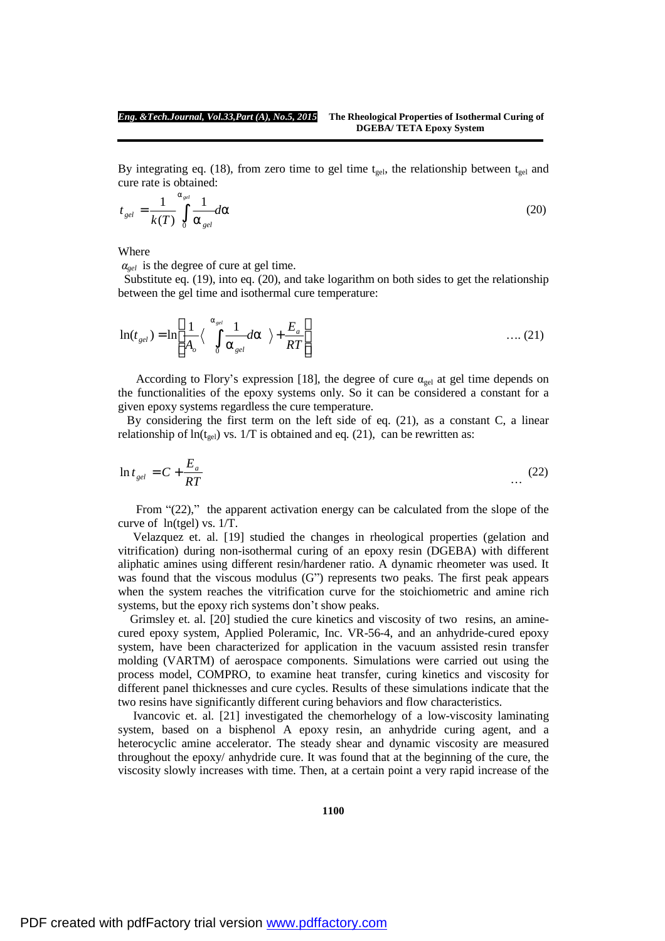By integrating eq. (18), from zero time to gel time  $t_{gel}$ , the relationship between  $t_{gel}$  and cure rate is obtained:

$$
t_{gel} = \frac{1}{k(T)} \int_{0}^{a_{gel}} \frac{1}{a_{gel}} da
$$
 (20)

Where

 $a_{gel}$  is the degree of cure at gel time.

Substitute eq. (19), into eq. (20), and take logarithm on both sides to get the relationship between the gel time and isothermal cure temperature:

$$
\ln(t_{gel}) = \ln\left[\frac{1}{A_o} \langle \int_0^{a_{gel}} \frac{1}{a_{gel}} da \rangle + \frac{E_a}{RT}\right] \tag{21}
$$

According to Flory's expression [18], the degree of cure  $\alpha_{gel}$  at gel time depends on the functionalities of the epoxy systems only. So it can be considered a constant for a given epoxy systems regardless the cure temperature.

By considering the first term on the left side of eq. (21), as a constant C, a linear relationship of  $ln(t_{gel})$  vs. 1/T is obtained and eq. (21), can be rewritten as:

$$
\ln t_{gel} = C + \frac{E_a}{RT} \tag{22}
$$

From "(22)," the apparent activation energy can be calculated from the slope of the curve of ln(tgel) vs. 1/T.

Velazquez et. al. [19] studied the changes in rheological properties (gelation and vitrification) during non-isothermal curing of an epoxy resin (DGEBA) with different aliphatic amines using different resin/hardener ratio. A dynamic rheometer was used. It was found that the viscous modulus (G") represents two peaks. The first peak appears when the system reaches the vitrification curve for the stoichiometric and amine rich systems, but the epoxy rich systems don't show peaks.

Grimsley et. al. [20] studied the cure kinetics and viscosity of two resins, an aminecured epoxy system, Applied Poleramic, Inc. VR-56-4, and an anhydride-cured epoxy system, have been characterized for application in the vacuum assisted resin transfer molding (VARTM) of aerospace components. Simulations were carried out using the process model, COMPRO, to examine heat transfer, curing kinetics and viscosity for different panel thicknesses and cure cycles. Results of these simulations indicate that the two resins have significantly different curing behaviors and flow characteristics.

 Ivancovic et. al. [21] investigated the chemorhelogy of a low-viscosity laminating system, based on a bisphenol A epoxy resin, an anhydride curing agent, and a heterocyclic amine accelerator. The steady shear and dynamic viscosity are measured throughout the epoxy/ anhydride cure. It was found that at the beginning of the cure, the viscosity slowly increases with time. Then, at a certain point a very rapid increase of the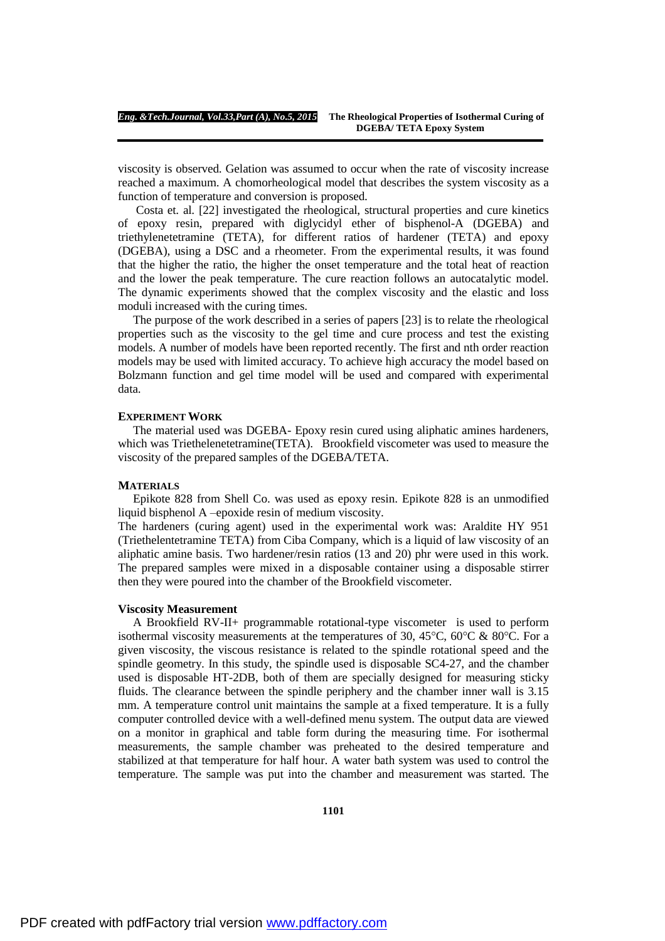viscosity is observed. Gelation was assumed to occur when the rate of viscosity increase reached a maximum. A chomorheological model that describes the system viscosity as a function of temperature and conversion is proposed.

 Costa et. al. [22] investigated the rheological, structural properties and cure kinetics of epoxy resin, prepared with diglycidyl ether of bisphenol-A (DGEBA) and triethylenetetramine (TETA), for different ratios of hardener (TETA) and epoxy (DGEBA), using a DSC and a rheometer. From the experimental results, it was found that the higher the ratio, the higher the onset temperature and the total heat of reaction and the lower the peak temperature. The cure reaction follows an autocatalytic model. The dynamic experiments showed that the complex viscosity and the elastic and loss moduli increased with the curing times.

The purpose of the work described in a series of papers [23] is to relate the rheological properties such as the viscosity to the gel time and cure process and test the existing models. A number of models have been reported recently. The first and nth order reaction models may be used with limited accuracy. To achieve high accuracy the model based on Bolzmann function and gel time model will be used and compared with experimental data.

#### **EXPERIMENT WORK**

The material used was DGEBA- Epoxy resin cured using aliphatic amines hardeners, which was Triethelenetetramine(TETA). Brookfield viscometer was used to measure the viscosity of the prepared samples of the DGEBA/TETA.

## **MATERIALS**

Epikote 828 from Shell Co. was used as epoxy resin. Epikote 828 is an unmodified liquid bisphenol A –epoxide resin of medium viscosity.

The hardeners (curing agent) used in the experimental work was: Araldite HY 951 (Triethelentetramine TETA) from Ciba Company, which is a liquid of law viscosity of an aliphatic amine basis. Two hardener/resin ratios (13 and 20) phr were used in this work. The prepared samples were mixed in a disposable container using a disposable stirrer then they were poured into the chamber of the Brookfield viscometer.

## **Viscosity Measurement**

A Brookfield RV-II+ programmable rotational-type viscometer is used to perform isothermal viscosity measurements at the temperatures of 30, 45 $^{\circ}$ C, 60 $^{\circ}$ C & 80 $^{\circ}$ C. For a given viscosity, the viscous resistance is related to the spindle rotational speed and the spindle geometry. In this study, the spindle used is disposable SC4-27, and the chamber used is disposable HT-2DB, both of them are specially designed for measuring sticky fluids. The clearance between the spindle periphery and the chamber inner wall is 3.15 mm. A temperature control unit maintains the sample at a fixed temperature. It is a fully computer controlled device with a well-defined menu system. The output data are viewed on a monitor in graphical and table form during the measuring time. For isothermal measurements, the sample chamber was preheated to the desired temperature and stabilized at that temperature for half hour. A water bath system was used to control the temperature. The sample was put into the chamber and measurement was started. The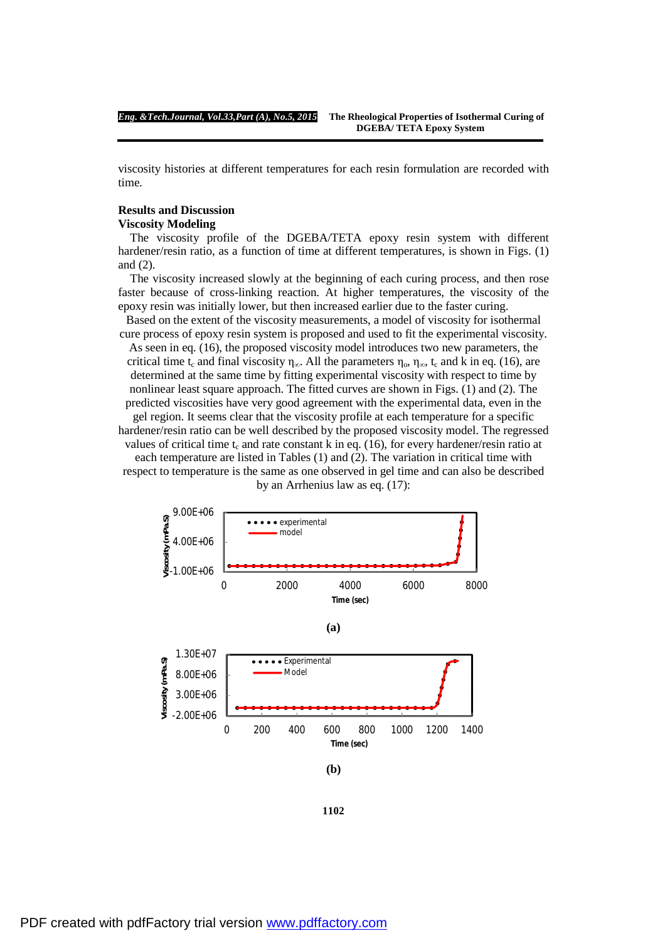viscosity histories at different temperatures for each resin formulation are recorded with time.

# **Results and Discussion**

# **Viscosity Modeling**

 The viscosity profile of the DGEBA/TETA epoxy resin system with different hardener/resin ratio, as a function of time at different temperatures, is shown in Figs. (1) and (2).

 The viscosity increased slowly at the beginning of each curing process, and then rose faster because of cross-linking reaction. At higher temperatures, the viscosity of the epoxy resin was initially lower, but then increased earlier due to the faster curing.

Based on the extent of the viscosity measurements, a model of viscosity for isothermal cure process of epoxy resin system is proposed and used to fit the experimental viscosity.

As seen in eq. (16), the proposed viscosity model introduces two new parameters, the critical time t<sub>c</sub> and final viscosity  $\eta_{\infty}$ . All the parameters  $\eta_{\infty}$ ,  $\eta_{\infty}$ , t<sub>c</sub> and k in eq. (16), are determined at the same time by fitting experimental viscosity with respect to time by nonlinear least square approach. The fitted curves are shown in Figs. (1) and (2). The predicted viscosities have very good agreement with the experimental data, even in the gel region. It seems clear that the viscosity profile at each temperature for a specific hardener/resin ratio can be well described by the proposed viscosity model. The regressed

values of critical time  $t_c$  and rate constant k in eq. (16), for every hardener/resin ratio at each temperature are listed in Tables (1) and (2). The variation in critical time with respect to temperature is the same as one observed in gel time and can also be described by an Arrhenius law as eq. (17):



**(b)**

**1102**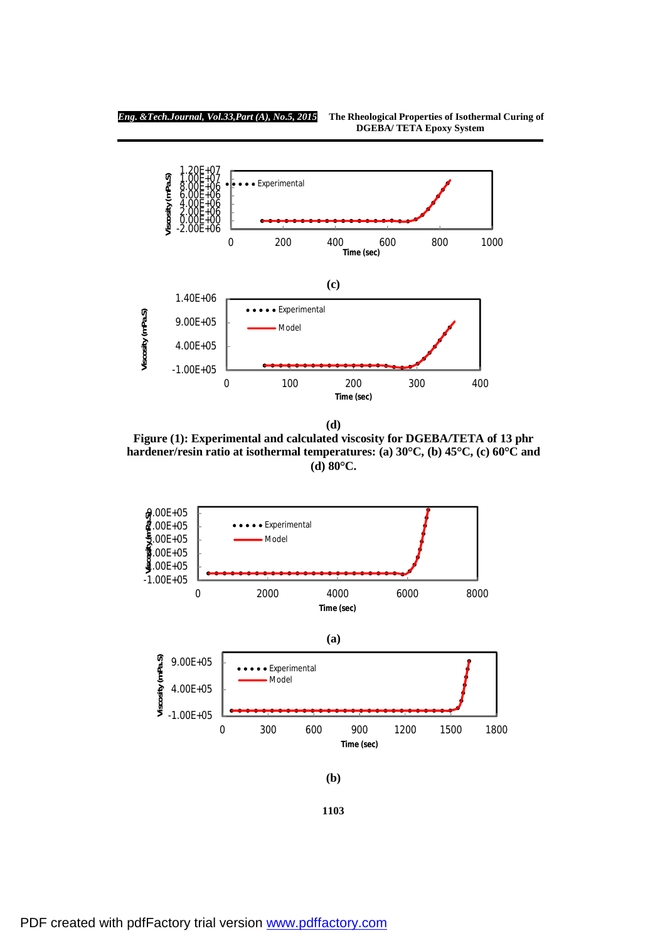

**(d)** 

**Figure (1): Experimental and calculated viscosity for DGEBA/TETA of 13 phr hardener/resin ratio at isothermal temperatures: (a) 30°C, (b) 45°C, (c) 60°C and (d) 80°C.**



**1103**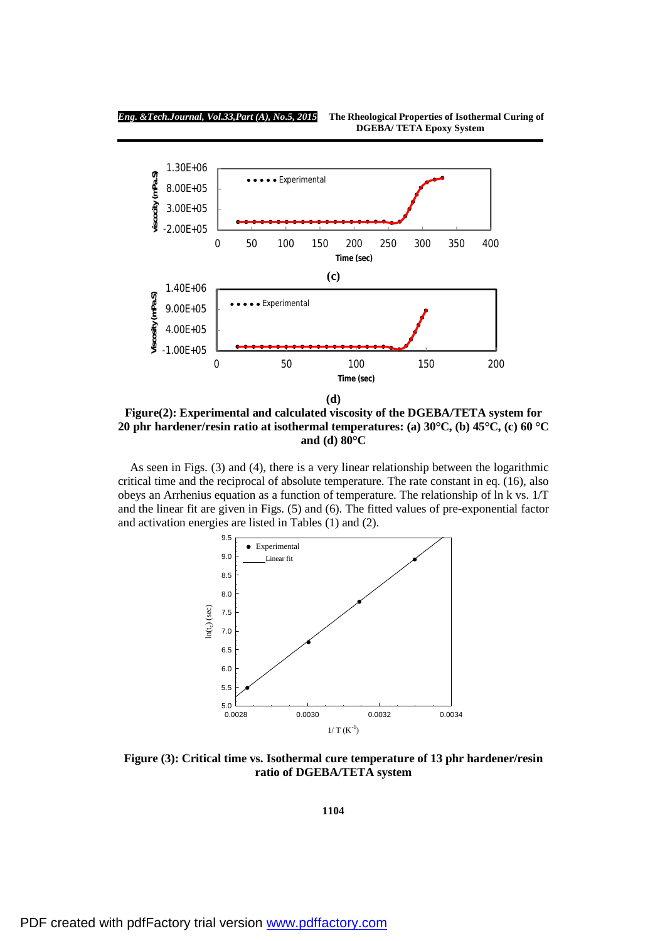

**Figure(2): Experimental and calculated viscosity of the DGEBA/TETA system for 20 phr hardener/resin ratio at isothermal temperatures: (a) 30°C, (b) 45°C, (c) 60 °C and (d) 80°C** 

As seen in Figs. (3) and (4), there is a very linear relationship between the logarithmic critical time and the reciprocal of absolute temperature. The rate constant in eq. (16), also obeys an Arrhenius equation as a function of temperature. The relationship of ln k vs. 1/T and the linear fit are given in Figs. (5) and (6). The fitted values of pre-exponential factor and activation energies are listed in Tables (1) and (2).



**Figure (3): Critical time vs. Isothermal cure temperature of 13 phr hardener/resin ratio of DGEBA/TETA system**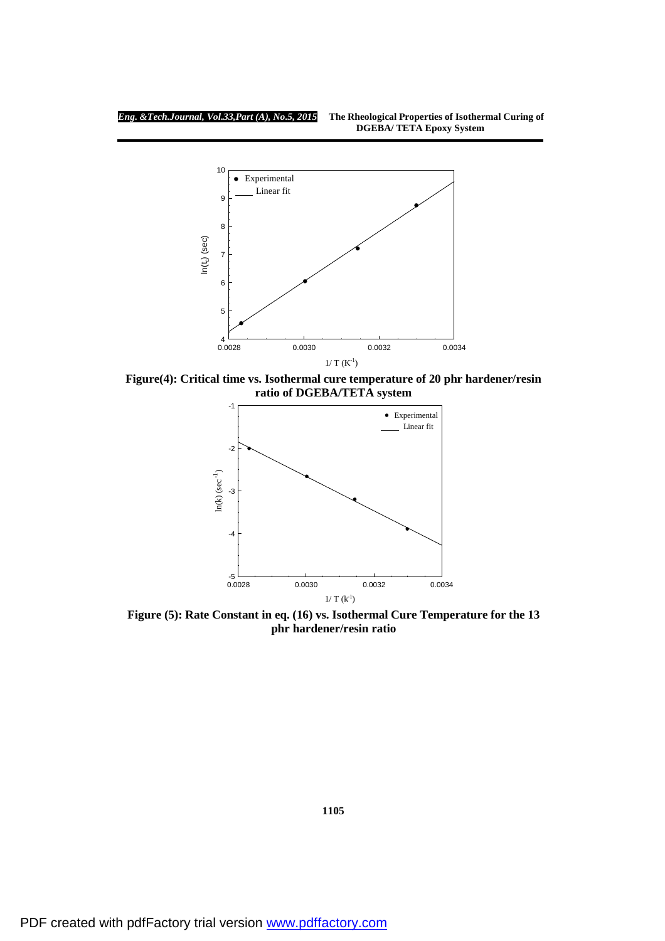

**Figure(4): Critical time vs. Isothermal cure temperature of 20 phr hardener/resin ratio of DGEBA/TETA system** 



 **Figure (5): Rate Constant in eq. (16) vs. Isothermal Cure Temperature for the 13 phr hardener/resin ratio**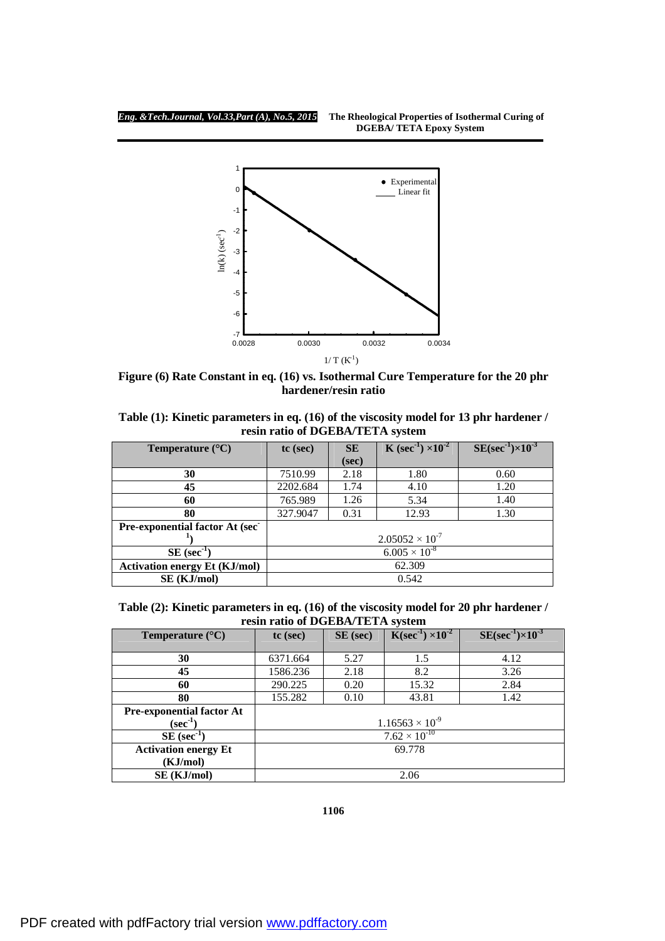

**Figure (6) Rate Constant in eq. (16) vs. Isothermal Cure Temperature for the 20 phr hardener/resin ratio** 

| Table (1): Kinetic parameters in eq. (16) of the viscosity model for 13 phr hardener / |
|----------------------------------------------------------------------------------------|
| resin ratio of DGEBA/TETA system                                                       |

| Temperature $(^{\circ}C)$              | <b>K</b> (sec <sup>1</sup> ) $\times$ 10 <sup>2</sup><br>$SE(sec^{-1}) \times 10^{-3}$<br><b>SE</b><br>$tc$ (sec) |       |       |      |  |  |  |
|----------------------------------------|-------------------------------------------------------------------------------------------------------------------|-------|-------|------|--|--|--|
|                                        |                                                                                                                   | (sec) |       |      |  |  |  |
| 30                                     | 7510.99                                                                                                           | 2.18  | 1.80  | 0.60 |  |  |  |
| 45                                     | 2202.684                                                                                                          | 1.74  | 4.10  | 1.20 |  |  |  |
| 60                                     | 765.989                                                                                                           | 1.26  | 5.34  | 1.40 |  |  |  |
| 80                                     | 327.9047                                                                                                          | 0.31  | 12.93 | 1.30 |  |  |  |
| <b>Pre-exponential factor At (sec.</b> |                                                                                                                   |       |       |      |  |  |  |
|                                        | $2.05052 \times 10^{-7}$                                                                                          |       |       |      |  |  |  |
| $SE$ (sec <sup>-1</sup> )              | $6.005 \times 10^{-8}$                                                                                            |       |       |      |  |  |  |
| <b>Activation energy Et (KJ/mol)</b>   | 62.309                                                                                                            |       |       |      |  |  |  |
| SE (KJ/mol)                            | 0.542                                                                                                             |       |       |      |  |  |  |

**Table (2): Kinetic parameters in eq. (16) of the viscosity model for 20 phr hardener / resin ratio of DGEBA/TETA system** 

| Temperature $(^{\circ}C)$        | $tc$ (sec)               | SE (sec) | $SE(\sec^{-1}) \times 10^{-3}$ |      |  |  |
|----------------------------------|--------------------------|----------|--------------------------------|------|--|--|
|                                  |                          |          |                                |      |  |  |
| 30                               | 6371.664                 | 5.27     | 1.5                            | 4.12 |  |  |
| 45                               | 1586.236                 | 2.18     | 8.2                            | 3.26 |  |  |
| 60                               | 290.225                  | 0.20     | 15.32                          | 2.84 |  |  |
| 80                               | 155.282                  | 0.10     | 43.81                          | 1.42 |  |  |
| <b>Pre-exponential factor At</b> |                          |          |                                |      |  |  |
| $(\sec^{-1})$                    | $1.16563 \times 10^{-9}$ |          |                                |      |  |  |
| $SE$ (sec <sup>-1</sup> )        | $7.62 \times 10^{-10}$   |          |                                |      |  |  |
| <b>Activation energy Et</b>      | 69.778                   |          |                                |      |  |  |
| (KJ/mol)                         |                          |          |                                |      |  |  |
| SE (KJ/mol)                      | 2.06                     |          |                                |      |  |  |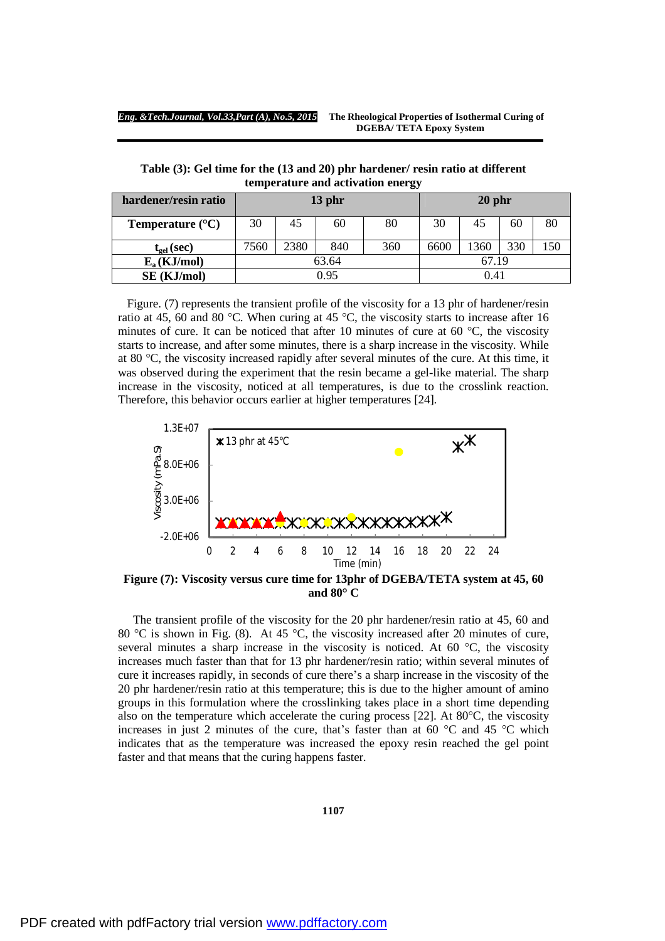**Table (3): Gel time for the (13 and 20) phr hardener/ resin ratio at different temperature and activation energy** 

| hardener/resin ratio      | $13$ phr |      |     |     | $20$ phr |      |     |     |
|---------------------------|----------|------|-----|-----|----------|------|-----|-----|
| Temperature $(^{\circ}C)$ | 30       | 45   | 60  | 80  | 30       | 45   | 60  | 80  |
| $t_{gel}$ (sec)           | 7560     | 2380 | 840 | 360 | 6600     | 1360 | 330 | 150 |
| $E_a$ (KJ/mol)            | 63.64    |      |     |     | 67.19    |      |     |     |
| SE (KJ/mol)               | 0.95     |      |     |     | 0.41     |      |     |     |

 Figure. (7) represents the transient profile of the viscosity for a 13 phr of hardener/resin ratio at 45, 60 and 80 °C. When curing at 45 °C, the viscosity starts to increase after 16 minutes of cure. It can be noticed that after 10 minutes of cure at 60  $^{\circ}$ C, the viscosity starts to increase, and after some minutes, there is a sharp increase in the viscosity. While at 80 °C, the viscosity increased rapidly after several minutes of the cure. At this time, it was observed during the experiment that the resin became a gel-like material. The sharp increase in the viscosity, noticed at all temperatures, is due to the crosslink reaction. Therefore, this behavior occurs earlier at higher temperatures [24].



**Figure (7): Viscosity versus cure time for 13phr of DGEBA/TETA system at 45, 60 and 80° C**

The transient profile of the viscosity for the 20 phr hardener/resin ratio at 45, 60 and 80 °C is shown in Fig. (8). At 45 °C, the viscosity increased after 20 minutes of cure, several minutes a sharp increase in the viscosity is noticed. At 60  $^{\circ}$ C, the viscosity increases much faster than that for 13 phr hardener/resin ratio; within several minutes of cure it increases rapidly, in seconds of cure there's a sharp increase in the viscosity of the 20 phr hardener/resin ratio at this temperature; this is due to the higher amount of amino groups in this formulation where the crosslinking takes place in a short time depending also on the temperature which accelerate the curing process  $[22]$ . At  $80^{\circ}$ C, the viscosity increases in just 2 minutes of the cure, that's faster than at 60  $^{\circ}$ C and 45  $^{\circ}$ C which indicates that as the temperature was increased the epoxy resin reached the gel point faster and that means that the curing happens faster.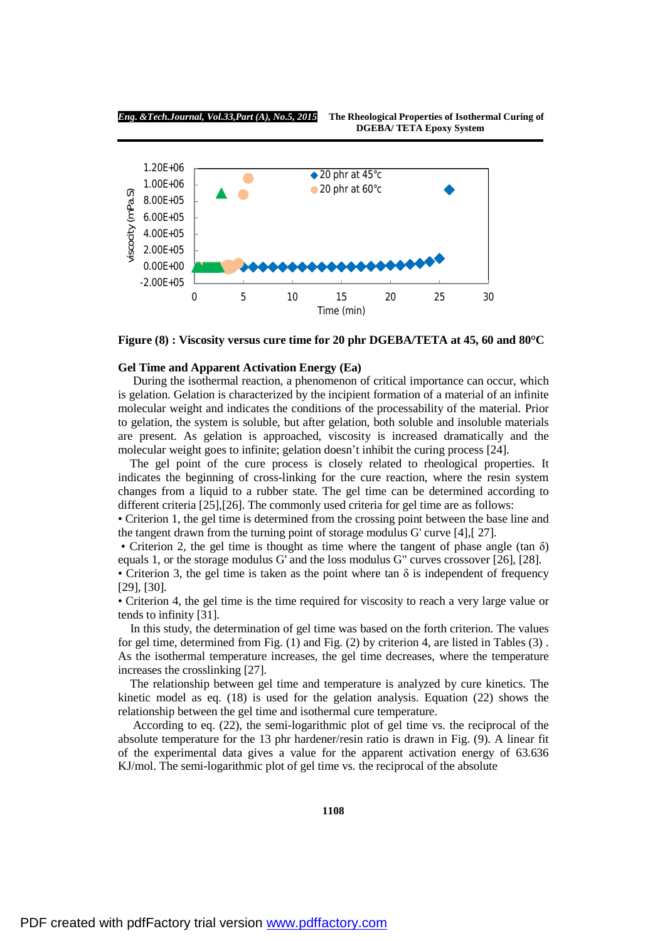

**Figure (8) : Viscosity versus cure time for 20 phr DGEBA/TETA at 45, 60 and 80°C** 

# **Gel Time and Apparent Activation Energy (Ea)**

During the isothermal reaction, a phenomenon of critical importance can occur, which is gelation. Gelation is characterized by the incipient formation of a material of an infinite molecular weight and indicates the conditions of the processability of the material. Prior to gelation, the system is soluble, but after gelation, both soluble and insoluble materials are present. As gelation is approached, viscosity is increased dramatically and the molecular weight goes to infinite; gelation doesn't inhibit the curing process [24].

The gel point of the cure process is closely related to rheological properties. It indicates the beginning of cross-linking for the cure reaction, where the resin system changes from a liquid to a rubber state. The gel time can be determined according to different criteria [25],[26]. The commonly used criteria for gel time are as follows:

• Criterion 1, the gel time is determined from the crossing point between the base line and the tangent drawn from the turning point of storage modulus G' curve [4],[ 27].

• Criterion 2, the gel time is thought as time where the tangent of phase angle (tan  $\delta$ ) equals 1, or the storage modulus G' and the loss modulus G" curves crossover [26], [28].

• Criterion 3, the gel time is taken as the point where tan  $\delta$  is independent of frequency [29], [30].

• Criterion 4, the gel time is the time required for viscosity to reach a very large value or tends to infinity [31].

In this study, the determination of gel time was based on the forth criterion. The values for gel time, determined from Fig. (1) and Fig. (2) by criterion 4, are listed in Tables (3) . As the isothermal temperature increases, the gel time decreases, where the temperature increases the crosslinking [27].

The relationship between gel time and temperature is analyzed by cure kinetics. The kinetic model as eq. (18) is used for the gelation analysis. Equation (22) shows the relationship between the gel time and isothermal cure temperature.

According to eq. (22), the semi-logarithmic plot of gel time vs. the reciprocal of the absolute temperature for the 13 phr hardener/resin ratio is drawn in Fig. (9). A linear fit of the experimental data gives a value for the apparent activation energy of 63.636 KJ/mol. The semi-logarithmic plot of gel time vs. the reciprocal of the absolute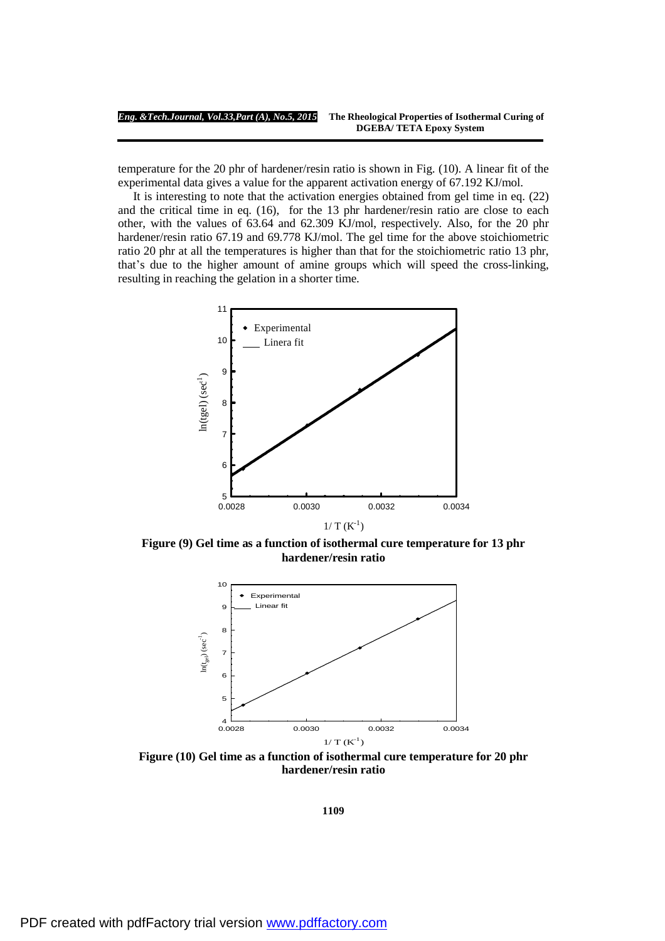temperature for the 20 phr of hardener/resin ratio is shown in Fig. (10). A linear fit of the experimental data gives a value for the apparent activation energy of 67.192 KJ/mol.

 It is interesting to note that the activation energies obtained from gel time in eq. (22) and the critical time in eq. (16), for the 13 phr hardener/resin ratio are close to each other, with the values of 63.64 and 62.309 KJ/mol, respectively. Also, for the 20 phr hardener/resin ratio 67.19 and 69.778 KJ/mol. The gel time for the above stoichiometric ratio 20 phr at all the temperatures is higher than that for the stoichiometric ratio 13 phr, that's due to the higher amount of amine groups which will speed the cross-linking, resulting in reaching the gelation in a shorter time.



**Figure (9) Gel time as a function of isothermal cure temperature for 13 phr hardener/resin ratio**



**Figure (10) Gel time as a function of isothermal cure temperature for 20 phr hardener/resin ratio**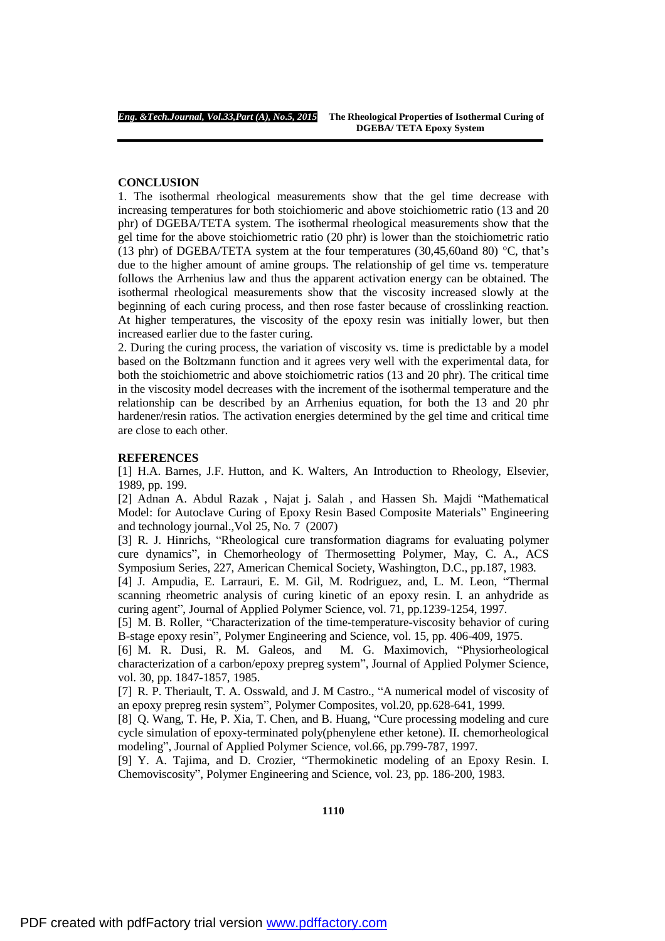## **CONCLUSION**

1. The isothermal rheological measurements show that the gel time decrease with increasing temperatures for both stoichiomeric and above stoichiometric ratio (13 and 20 phr) of DGEBA/TETA system. The isothermal rheological measurements show that the gel time for the above stoichiometric ratio (20 phr) is lower than the stoichiometric ratio (13 phr) of DGEBA/TETA system at the four temperatures (30,45,60and 80) °C, that's due to the higher amount of amine groups. The relationship of gel time vs. temperature follows the Arrhenius law and thus the apparent activation energy can be obtained. The isothermal rheological measurements show that the viscosity increased slowly at the beginning of each curing process, and then rose faster because of crosslinking reaction. At higher temperatures, the viscosity of the epoxy resin was initially lower, but then increased earlier due to the faster curing.

2. During the curing process, the variation of viscosity vs. time is predictable by a model based on the Boltzmann function and it agrees very well with the experimental data, for both the stoichiometric and above stoichiometric ratios (13 and 20 phr). The critical time in the viscosity model decreases with the increment of the isothermal temperature and the relationship can be described by an Arrhenius equation, for both the 13 and 20 phr hardener/resin ratios. The activation energies determined by the gel time and critical time are close to each other.

# **REFERENCES**

[1] H.A. Barnes, J.F. Hutton, and K. Walters, An Introduction to Rheology, Elsevier, 1989, pp. 199.

[2] Adnan A. Abdul Razak , Najat j. Salah , and Hassen Sh. Majdi "Mathematical Model: for Autoclave Curing of Epoxy Resin Based Composite Materials" Engineering and technology journal.,Vol 25, No. 7 (2007)

[3] R. J. Hinrichs, "Rheological cure transformation diagrams for evaluating polymer cure dynamics", in Chemorheology of Thermosetting Polymer, May, C. A., ACS Symposium Series, 227, American Chemical Society, Washington, D.C., pp.187, 1983.

[4] J. Ampudia, E. Larrauri, E. M. Gil, M. Rodriguez, and, L. M. Leon, "Thermal scanning rheometric analysis of curing kinetic of an epoxy resin. I. an anhydride as curing agent", Journal of Applied Polymer Science, vol. 71, pp.1239-1254, 1997.

[5] M. B. Roller, "Characterization of the time-temperature-viscosity behavior of curing B-stage epoxy resin", Polymer Engineering and Science, vol. 15, pp. 406-409, 1975.

[6] M. R. Dusi, R. M. Galeos, and M. G. Maximovich, "Physiorheological characterization of a carbon/epoxy prepreg system", Journal of Applied Polymer Science, vol. 30, pp. 1847-1857, 1985.

[7] R. P. Theriault, T. A. Osswald, and J. M Castro., "A numerical model of viscosity of an epoxy prepreg resin system", Polymer Composites, vol.20, pp.628-641, 1999.

[8] Q. Wang, T. He, P. Xia, T. Chen, and B. Huang, "Cure processing modeling and cure cycle simulation of epoxy-terminated poly(phenylene ether ketone). II. chemorheological modeling", Journal of Applied Polymer Science, vol.66, pp.799-787, 1997.

[9] Y. A. Tajima, and D. Crozier, "Thermokinetic modeling of an Epoxy Resin. I. Chemoviscosity", Polymer Engineering and Science, vol. 23, pp. 186-200, 1983.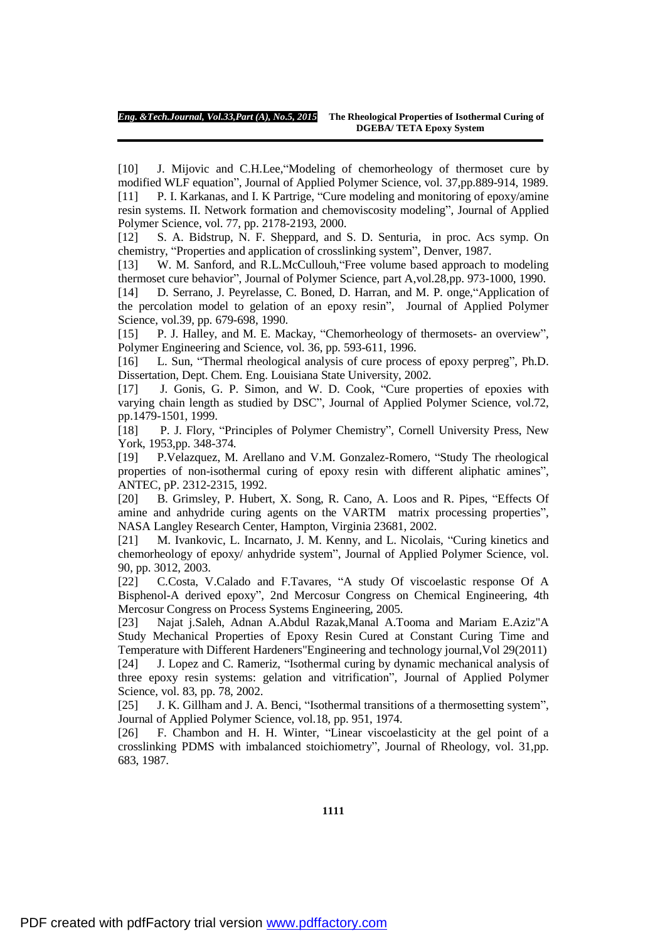[10] J. Mijovic and C.H.Lee,"Modeling of chemorheology of thermoset cure by modified WLF equation", Journal of Applied Polymer Science, vol. 37,pp.889-914, 1989. [11] P. I. Karkanas, and I. K Partrige, "Cure modeling and monitoring of epoxy/amine resin systems. II. Network formation and chemoviscosity modeling", Journal of Applied Polymer Science, vol. 77, pp. 2178-2193, 2000.

[12] S. A. Bidstrup, N. F. Sheppard, and S. D. Senturia, in proc. Acs symp. On chemistry, "Properties and application of crosslinking system", Denver, 1987.

[13] W. M. Sanford, and R.L.McCullouh, 'Free volume based approach to modeling thermoset cure behavior", Journal of Polymer Science, part A,vol.28,pp. 973-1000, 1990.

[14] D. Serrano, J. Peyrelasse, C. Boned, D. Harran, and M. P. onge,"Application of the percolation model to gelation of an epoxy resin", Journal of Applied Polymer Science, vol.39, pp. 679-698, 1990.

[15] P. J. Halley, and M. E. Mackay, "Chemorheology of thermosets- an overview", Polymer Engineering and Science, vol. 36, pp. 593-611, 1996.

[16] L. Sun, "Thermal rheological analysis of cure process of epoxy perpreg", Ph.D. Dissertation, Dept. Chem. Eng. Louisiana State University, 2002.

[17] J. Gonis, G. P. Simon, and W. D. Cook, "Cure properties of epoxies with varying chain length as studied by DSC", Journal of Applied Polymer Science, vol.72, pp.1479-1501, 1999.

[18] P. J. Flory, "Principles of Polymer Chemistry", Cornell University Press, New York, 1953,pp. 348-374.

[19] P.Velazquez, M. Arellano and V.M. Gonzalez-Romero, "Study The rheological properties of non-isothermal curing of epoxy resin with different aliphatic amines", ANTEC, pP. 2312-2315, 1992.

[20] B. Grimsley, P. Hubert, X. Song, R. Cano, A. Loos and R. Pipes, "Effects Of amine and anhydride curing agents on the VARTM matrix processing properties", NASA Langley Research Center, Hampton, Virginia 23681, 2002.

[21] M. Ivankovic, L. Incarnato, J. M. Kenny, and L. Nicolais, "Curing kinetics and chemorheology of epoxy/ anhydride system", Journal of Applied Polymer Science, vol. 90, pp. 3012, 2003.

[22] C.Costa, V.Calado and F.Tavares, "A study Of viscoelastic response Of A Bisphenol-A derived epoxy", 2nd Mercosur Congress on Chemical Engineering, 4th Mercosur Congress on Process Systems Engineering, 2005.

[23] Najat j.Saleh, Adnan A.Abdul Razak,Manal A.Tooma and Mariam E.Aziz"A Study Mechanical Properties of Epoxy Resin Cured at Constant Curing Time and Temperature with Different Hardeners"Engineering and technology journal,Vol 29(2011) [24] J. Lopez and C. Rameriz, "Isothermal curing by dynamic mechanical analysis of three epoxy resin systems: gelation and vitrification", Journal of Applied Polymer Science, vol. 83, pp. 78, 2002.

[25] J. K. Gillham and J. A. Benci, "Isothermal transitions of a thermosetting system", Journal of Applied Polymer Science, vol.18, pp. 951, 1974.

[26] F. Chambon and H. H. Winter, "Linear viscoelasticity at the gel point of a crosslinking PDMS with imbalanced stoichiometry", Journal of Rheology, vol. 31,pp. 683, 1987.